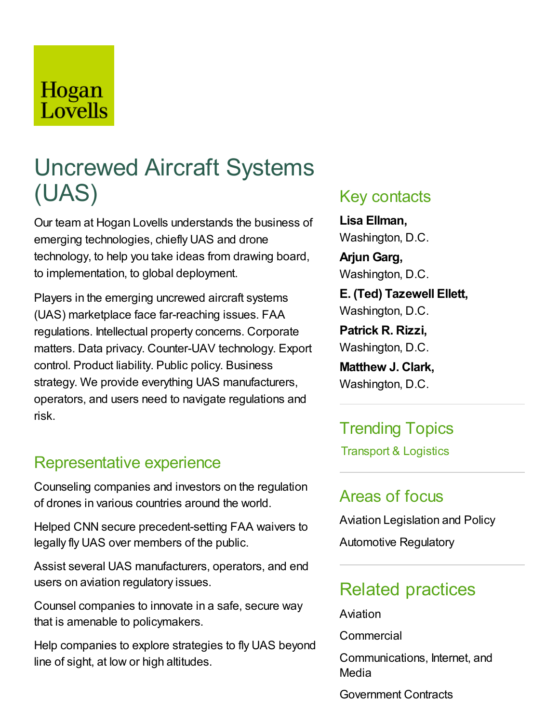# Hogan Lovells

# Uncrewed Aircraft Systems (UAS)

Our team at Hogan Lovells understands the business of emerging technologies, chiefly UAS and drone technology, to help you take ideas from drawing board, to implementation, to global deployment.

Players in the emerging uncrewed aircraft systems (UAS) marketplace face far-reaching issues. FAA regulations. Intellectual property concerns. Corporate matters. Data privacy. Counter-UAV technology. Export control. Product liability. Public policy. Business strategy. We provide everything UAS manufacturers, operators, and users need to navigate regulations and risk.

### Representative experience

Counseling companies and investors on the regulation of drones in various countries around the world.

Helped CNN secure precedent-setting FAA waivers to legally fly UAS over members of the public.

Assist several UAS manufacturers, operators, and end users on aviation regulatory issues.

Counsel companies to innovate in a safe, secure way that is amenable to policymakers.

Help companies to explore strategies to fly UAS beyond line of sight, at low or high altitudes.

### Key contacts

**Lisa Ellman,** Washington, D.C.

**Arjun Garg,** Washington, D.C. **E. (Ted) Tazewell Ellett,** Washington, D.C.

**Patrick R. Rizzi,** Washington, D.C.

**Matthew J. Clark,** Washington, D.C.

Trending Topics Transport & Logistics

### Areas of focus

Aviation Legislation and Policy Automotive Regulatory

# Related practices

Aviation

**Commercial** 

Communications, Internet, and Media

Government Contracts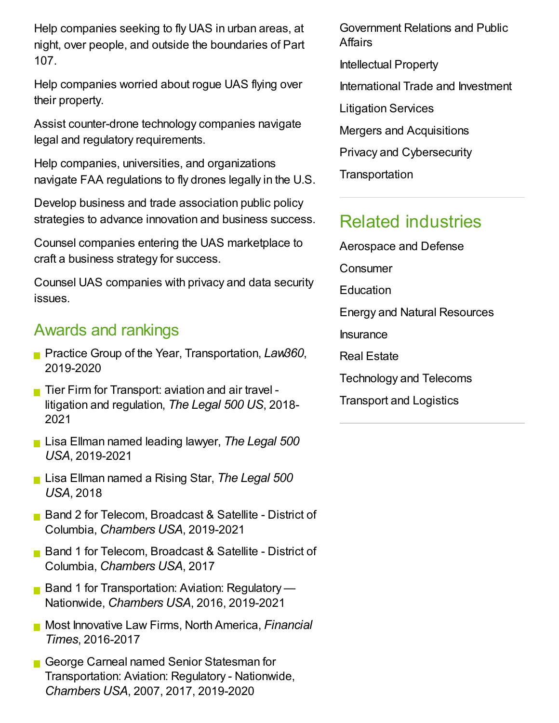Help companies seeking to fly UAS in urban areas, at night, over people, and outside the boundaries of Part 107.

Help companies worried about rogue UAS flying over their property.

Assist counter-drone technology companies navigate legal and regulatory requirements.

Help companies, universities, and organizations navigate FAA regulations to fly drones legally in the U.S.

Develop business and trade association public policy strategies to advance innovation and business success.

Counsel companies entering the UAS marketplace to craft a business strategy for success.

Counsel UAS companies with privacy and data security issues.

### Awards and rankings

- **Practice Group of the Year, Transportation, Law360,** 2019-2020
- **Tier Firm for Transport: aviation and air travel** litigation and regulation, *The Legal 500 US*, 2018- 2021
- Lisa Ellman named leading lawyer, *The Legal 500 USA*, 2019-2021
- Lisa Ellman named a Rising Star, *The Legal 500 USA*, 2018
- Band 2 for Telecom, Broadcast & Satellite District of Columbia, *Chambers USA*, 2019-2021
- Band 1 for Telecom, Broadcast & Satellite District of Columbia, *Chambers USA*, 2017
- **Band 1 for Transportation: Aviation: Regulatory** Nationwide, *Chambers USA*, 2016, 2019-2021
- Most Innovative Law Firms, North America, *Financial Times*, 2016-2017
- George Carneal named Senior Statesman for Transportation: Aviation: Regulatory - Nationwide, *Chambers USA*, 2007, 2017, 2019-2020

Government Relations and Public Affairs

- Intellectual Property
- International Trade and Investment
- Litigation Services

Mergers and Acquisitions

Privacy and Cybersecurity

**Transportation** 

## Related industries

Aerospace and Defense

Consumer

Education

Energy and Natural Resources

Insurance

Real Estate

Technology and Telecoms

Transport and Logistics